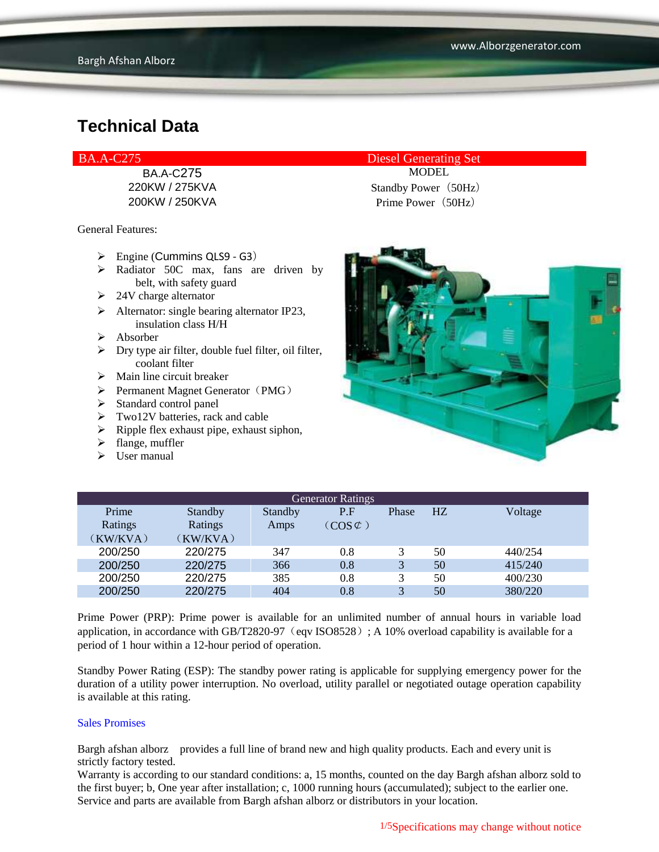BA.A-C275 MODEL

General Features:

- $\triangleright$  Engine (Cummins QLS9 G3)
- $\triangleright$  Radiator 50C max, fans are driven by belt, with safety guard
- $\geq$  24V charge alternator
- $\triangleright$  Alternator: single bearing alternator IP23, insulation class H/H
- $\triangleright$  Absorber
- $\triangleright$  Dry type air filter, double fuel filter, oil filter, coolant filter
- $\triangleright$  Main line circuit breaker
- $\triangleright$  Permanent Magnet Generator (PMG)
- $\triangleright$  Standard control panel
- $\triangleright$  Two12V batteries, rack and cable
- $\triangleright$  Ripple flex exhaust pipe, exhaust siphon,
- $\blacktriangleright$  flange, muffler
- $\triangleright$  User manual

BA.A-C275 Diesel Generating Set

220KW / 275KVA Standby Power (50Hz) 200KW / 250KVA Prime Power (50Hz)



| <b>Generator Ratings</b> |          |         |                     |              |                |         |
|--------------------------|----------|---------|---------------------|--------------|----------------|---------|
| Prime                    | Standby  | Standby | P.F                 | Phase        | H <sub>Z</sub> | Voltage |
| Ratings                  | Ratings  | Amps    | $(COS \mathcal{C})$ |              |                |         |
| (KW/KVA)                 | (KW/KVA) |         |                     |              |                |         |
| 200/250                  | 220/275  | 347     | 0.8                 |              | 50             | 440/254 |
| 200/250                  | 220/275  | 366     | 0.8                 | 3            | 50             | 415/240 |
| 200/250                  | 220/275  | 385     | 0.8                 |              | 50             | 400/230 |
| 200/250                  | 220/275  | 404     | 0.8                 | $\mathbf{R}$ | 50             | 380/220 |

Prime Power (PRP): Prime power is available for an unlimited number of annual hours in variable load application, in accordance with GB/T2820-97 (eqv ISO8528); A 10% overload capability is available for a period of 1 hour within a 12-hour period of operation.

Standby Power Rating (ESP): The standby power rating is applicable for supplying emergency power for the duration of a utility power interruption. No overload, utility parallel or negotiated outage operation capability is available at this rating.

#### Sales Promises

Bargh afshan alborz provides a full line of brand new and high quality products. Each and every unit is strictly factory tested.

Warranty is according to our standard conditions: a, 15 months, counted on the day Bargh afshan alborz sold to the first buyer; b, One year after installation; c, 1000 running hours (accumulated); subject to the earlier one. Service and parts are available from Bargh afshan alborz or distributors in your location.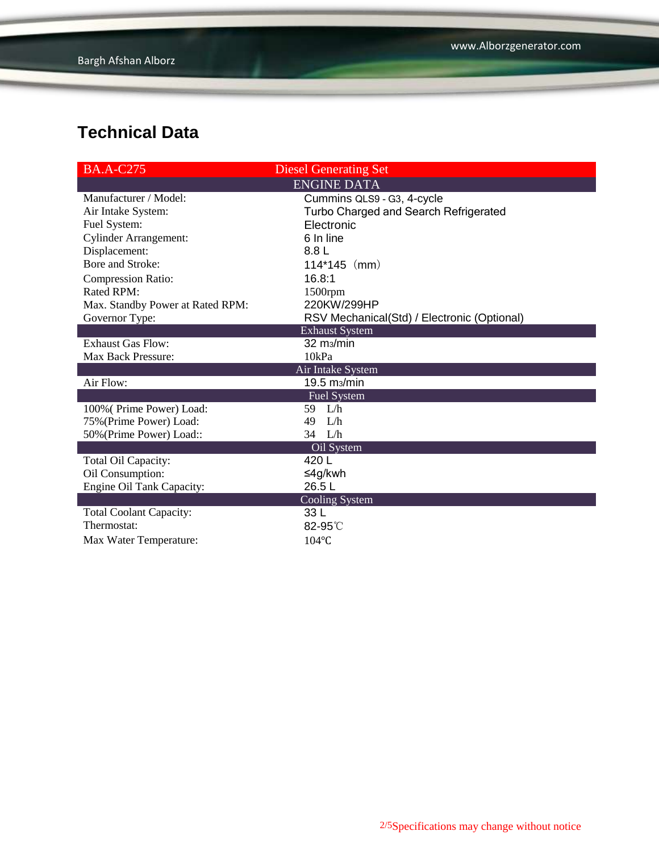| <b>BA.A-C275</b>                 | <b>Diesel Generating Set</b>                |
|----------------------------------|---------------------------------------------|
|                                  | <b>ENGINE DATA</b>                          |
| Manufacturer / Model:            | Cummins QLS9 - G3, 4-cycle                  |
| Air Intake System:               | Turbo Charged and Search Refrigerated       |
| Fuel System:                     | Electronic                                  |
| <b>Cylinder Arrangement:</b>     | 6 In line                                   |
| Displacement:                    | 8.8 L                                       |
| Bore and Stroke:                 | $114*145$ (mm)                              |
| <b>Compression Ratio:</b>        | 16.8:1                                      |
| <b>Rated RPM:</b>                | 1500rpm                                     |
| Max. Standby Power at Rated RPM: | 220KW/299HP                                 |
| Governor Type:                   | RSV Mechanical(Std) / Electronic (Optional) |
|                                  | <b>Exhaust System</b>                       |
| <b>Exhaust Gas Flow:</b>         | 32 m <sub>3</sub> /min                      |
| Max Back Pressure:               | 10kPa                                       |
|                                  | Air Intake System                           |
| Air Flow:                        | 19.5 m <sub>3</sub> /min                    |
|                                  | <b>Fuel System</b>                          |
| 100% (Prime Power) Load:         | 59 L/h                                      |
| 75% (Prime Power) Load:          | L/h<br>49                                   |
| 50% (Prime Power) Load::         | $34$ L/h                                    |
|                                  | Oil System                                  |
| Total Oil Capacity:              | 420 L                                       |
| Oil Consumption:                 | ≤4g/kwh                                     |
| Engine Oil Tank Capacity:        | 26.5L                                       |
|                                  | Cooling System                              |
| <b>Total Coolant Capacity:</b>   | 33 L                                        |
| Thermostat:                      | 82-95°C                                     |
| Max Water Temperature:           | $104$ °C                                    |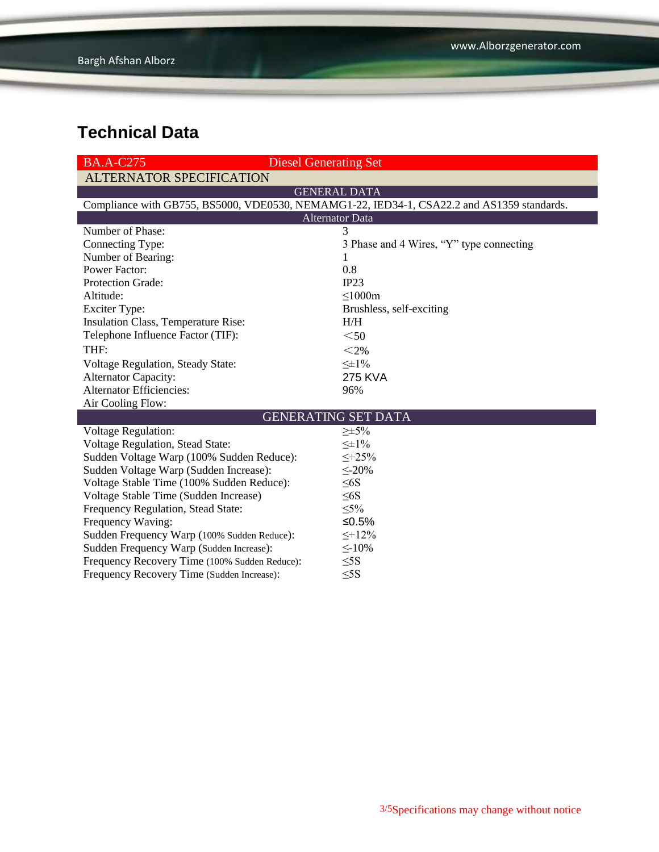| <b>BA.A-C275</b>                                                                           | <b>Diesel Generating Set</b>             |  |  |  |
|--------------------------------------------------------------------------------------------|------------------------------------------|--|--|--|
| <b>ALTERNATOR SPECIFICATION</b>                                                            |                                          |  |  |  |
|                                                                                            | <b>GENERAL DATA</b>                      |  |  |  |
| Compliance with GB755, BS5000, VDE0530, NEMAMG1-22, IED34-1, CSA22.2 and AS1359 standards. |                                          |  |  |  |
| <b>Alternator Data</b>                                                                     |                                          |  |  |  |
| Number of Phase:                                                                           | 3                                        |  |  |  |
| Connecting Type:                                                                           | 3 Phase and 4 Wires, "Y" type connecting |  |  |  |
| Number of Bearing:                                                                         | 1                                        |  |  |  |
| <b>Power Factor:</b>                                                                       | 0.8                                      |  |  |  |
| <b>Protection Grade:</b>                                                                   | IP23                                     |  |  |  |
| Altitude:                                                                                  | $\leq 1000m$                             |  |  |  |
| <b>Exciter Type:</b>                                                                       | Brushless, self-exciting                 |  |  |  |
| Insulation Class, Temperature Rise:                                                        | H/H                                      |  |  |  |
| Telephone Influence Factor (TIF):                                                          | $50$                                     |  |  |  |
| THF:                                                                                       | $<$ 2%                                   |  |  |  |
| Voltage Regulation, Steady State:                                                          | $\leq \pm 1\%$                           |  |  |  |
| <b>Alternator Capacity:</b>                                                                | <b>275 KVA</b>                           |  |  |  |
| <b>Alternator Efficiencies:</b>                                                            | 96%                                      |  |  |  |
| Air Cooling Flow:                                                                          |                                          |  |  |  |
| <b>GENERATING SET DATA</b>                                                                 |                                          |  |  |  |
| <b>Voltage Regulation:</b>                                                                 | $\geq \pm 5\%$                           |  |  |  |
| Voltage Regulation, Stead State:                                                           | $\leq \pm 1\%$                           |  |  |  |
| Sudden Voltage Warp (100% Sudden Reduce):                                                  | $\leq +25\%$                             |  |  |  |
| Sudden Voltage Warp (Sudden Increase):                                                     | $\leq$ -20%                              |  |  |  |
| Voltage Stable Time (100% Sudden Reduce):                                                  | $\leq 6S$                                |  |  |  |
| Voltage Stable Time (Sudden Increase)                                                      | $\leq 6S$                                |  |  |  |
| Frequency Regulation, Stead State:                                                         | $\leq 5\%$                               |  |  |  |
| Frequency Waving:                                                                          | ≤ $0.5%$                                 |  |  |  |
| Sudden Frequency Warp (100% Sudden Reduce):                                                | $\leq +12\%$                             |  |  |  |
| Sudden Frequency Warp (Sudden Increase):                                                   | $\leq$ -10%                              |  |  |  |
| Frequency Recovery Time (100% Sudden Reduce):                                              | $\leq$ 5S                                |  |  |  |
| Frequency Recovery Time (Sudden Increase):                                                 | $\leq$ 5S                                |  |  |  |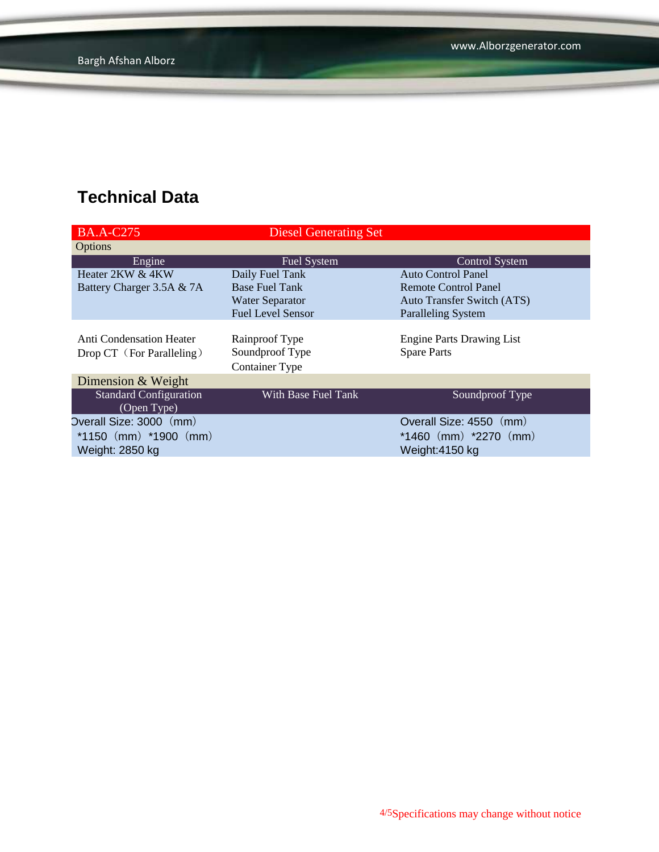| <b>BA.A-C275</b>                | <b>Diesel Generating Set</b> |                                   |
|---------------------------------|------------------------------|-----------------------------------|
| Options                         |                              |                                   |
| Engine                          | <b>Fuel System</b>           | <b>Control System</b>             |
| Heater 2KW & 4KW                | Daily Fuel Tank              | <b>Auto Control Panel</b>         |
| Battery Charger 3.5A & 7A       | <b>Base Fuel Tank</b>        | Remote Control Panel              |
|                                 | <b>Water Separator</b>       | <b>Auto Transfer Switch (ATS)</b> |
|                                 | <b>Fuel Level Sensor</b>     | <b>Paralleling System</b>         |
|                                 |                              |                                   |
| <b>Anti Condensation Heater</b> | Rainproof Type               | <b>Engine Parts Drawing List</b>  |
| Drop CT (For Paralleling)       | Soundproof Type              | <b>Spare Parts</b>                |
|                                 | <b>Container Type</b>        |                                   |
| Dimension & Weight              |                              |                                   |
| <b>Standard Configuration</b>   | With Base Fuel Tank          | Soundproof Type                   |
| (Open Type)                     |                              |                                   |
| Overall Size: 3000 (mm)         |                              | Overall Size: 4550 (mm)           |
| *1150 $(mm)$ *1900 $(mm)$       |                              | $*1460$ (mm) $*2270$ (mm)         |
| Weight: 2850 kg                 |                              | Weight:4150 kg                    |